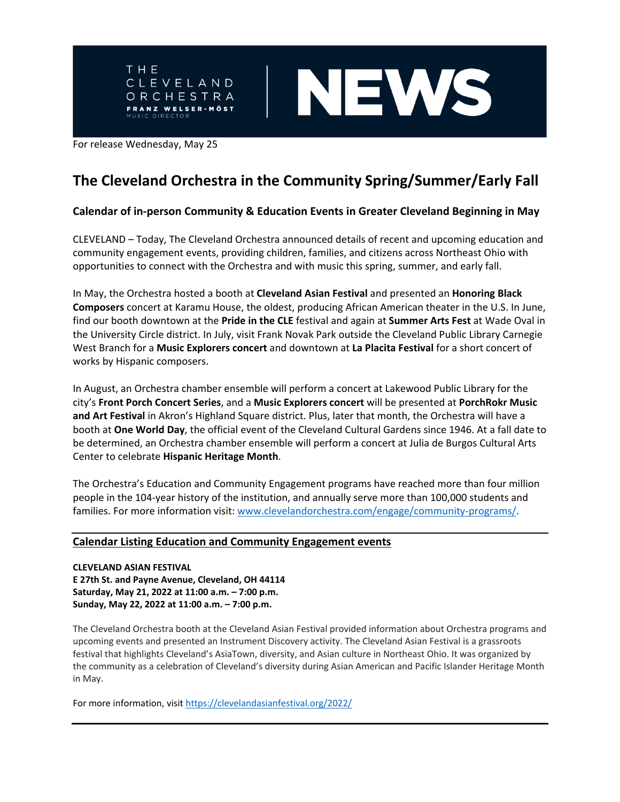

For release Wednesday, May 25

# **The Cleveland Orchestra in the Community Spring/Summer/Early Fall**

NEWS

# **Calendar of in-person Community & Education Events in Greater Cleveland Beginning in May**

CLEVELAND – Today, The Cleveland Orchestra announced details of recent and upcoming education and community engagement events, providing children, families, and citizens across Northeast Ohio with opportunities to connect with the Orchestra and with music this spring, summer, and early fall.

In May, the Orchestra hosted a booth at **Cleveland Asian Festival** and presented an **Honoring Black Composers** concert at Karamu House, the oldest, producing African American theater in the U.S. In June, find our booth downtown at the **Pride in the CLE** festival and again at **Summer Arts Fest** at Wade Oval in the University Circle district. In July, visit Frank Novak Park outside the Cleveland Public Library Carnegie West Branch for a **Music Explorers concert** and downtown at **La Placita Festival** for a short concert of works by Hispanic composers.

In August, an Orchestra chamber ensemble will perform a concert at Lakewood Public Library for the city's **Front Porch Concert Series**, and a **Music Explorers concert** will be presented at **PorchRokr Music and Art Festival** in Akron's Highland Square district. Plus, later that month, the Orchestra will have a booth at **One World Day**, the official event of the Cleveland Cultural Gardens since 1946. At a fall date to be determined, an Orchestra chamber ensemble will perform a concert at Julia de Burgos Cultural Arts Center to celebrate **Hispanic Heritage Month**.

The Orchestra's Education and Community Engagement programs have reached more than four million people in the 104-year history of the institution, and annually serve more than 100,000 students and families. For more information visit[: www.clevelandorchestra.com/engage/community-programs/.](http://www.clevelandorchestra.com/engage/community-programs/)

#### **Calendar Listing Education and Community Engagement events**

**CLEVELAND ASIAN FESTIVAL E 27th St. and Payne Avenue, Cleveland, OH 44114 Saturday, May 21, 2022 at 11:00 a.m. – 7:00 p.m. Sunday, May 22, 2022 at 11:00 a.m. – 7:00 p.m.**

The Cleveland Orchestra booth at the Cleveland Asian Festival provided information about Orchestra programs and upcoming events and presented an Instrument Discovery activity. The Cleveland Asian Festival is a grassroots festival that highlights Cleveland's AsiaTown, diversity, and Asian culture in Northeast Ohio. It was organized by the community as a celebration of Cleveland's diversity during Asian American and Pacific Islander Heritage Month in May.

For more information, visi[t https://clevelandasianfestival.org/2022/](https://clevelandasianfestival.org/2022/)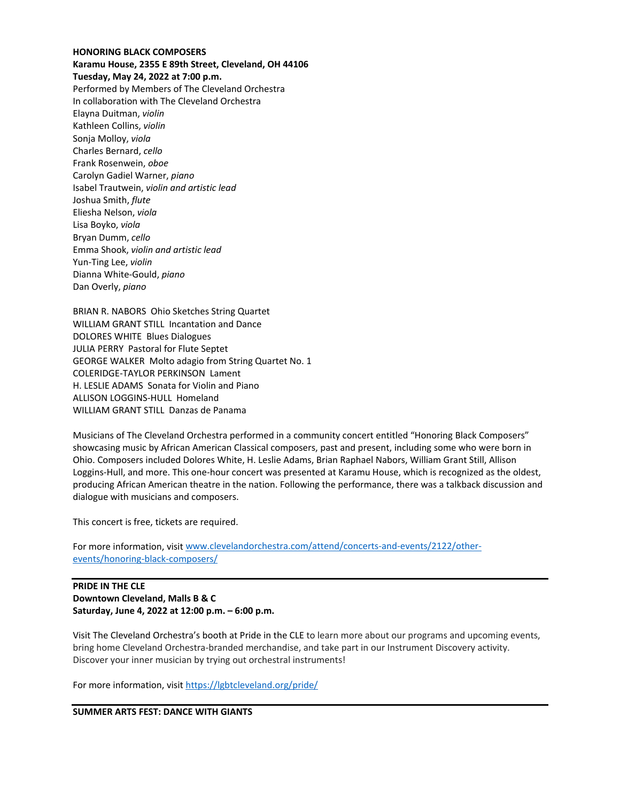#### **HONORING BLACK COMPOSERS**

#### **Karamu House, 2355 E 89th Street, Cleveland, OH 44106**

**Tuesday, May 24, 2022 at 7:00 p.m.**

Performed by Members of The Cleveland Orchestra In collaboration with The Cleveland Orchestra Elayna Duitman, *violin* Kathleen Collins, *violin* Sonja Molloy, *viola* Charles Bernard, *cello* Frank Rosenwein, *oboe* Carolyn Gadiel Warner, *piano* Isabel Trautwein, *violin and artistic lead* Joshua Smith, *flute* Eliesha Nelson, *viola* Lisa Boyko, *viola* Bryan Dumm, *cello* Emma Shook, *violin and artistic lead* Yun-Ting Lee, *violin* Dianna White-Gould, *piano* Dan Overly, *piano*

BRIAN R. NABORS Ohio Sketches String Quartet WILLIAM GRANT STILL Incantation and Dance DOLORES WHITE Blues Dialogues JULIA PERRY Pastoral for Flute Septet GEORGE WALKER Molto adagio from String Quartet No. 1 COLERIDGE-TAYLOR PERKINSON Lament H. LESLIE ADAMS Sonata for Violin and Piano ALLISON LOGGINS-HULL Homeland WILLIAM GRANT STILL Danzas de Panama

Musicians of The Cleveland Orchestra performed in a community concert entitled "Honoring Black Composers" showcasing music by African American Classical composers, past and present, including some who were born in Ohio. Composers included Dolores White, H. Leslie Adams, Brian Raphael Nabors, William Grant Still, Allison Loggins-Hull, and more. This one-hour concert was presented at Karamu House, which is recognized as the oldest, producing African American theatre in the nation. Following the performance, there was a talkback discussion and dialogue with musicians and composers.

This concert is free, tickets are required.

For more information, visi[t www.clevelandorchestra.com/attend/concerts-and-events/2122/other](http://www.clevelandorchestra.com/attend/concerts-and-events/2122/other-events/honoring-black-composers/)[events/honoring-black-composers/](http://www.clevelandorchestra.com/attend/concerts-and-events/2122/other-events/honoring-black-composers/) 

**PRIDE IN THE CLE Downtown Cleveland, Malls B & C Saturday, June 4, 2022 at 12:00 p.m. – 6:00 p.m.**

Visit The Cleveland Orchestra's booth at Pride in the CLE to learn more about our programs and upcoming events, bring home Cleveland Orchestra-branded merchandise, and take part in our Instrument Discovery activity. Discover your inner musician by trying out orchestral instruments!

For more information, visit https://lgbtcleveland.org/pride/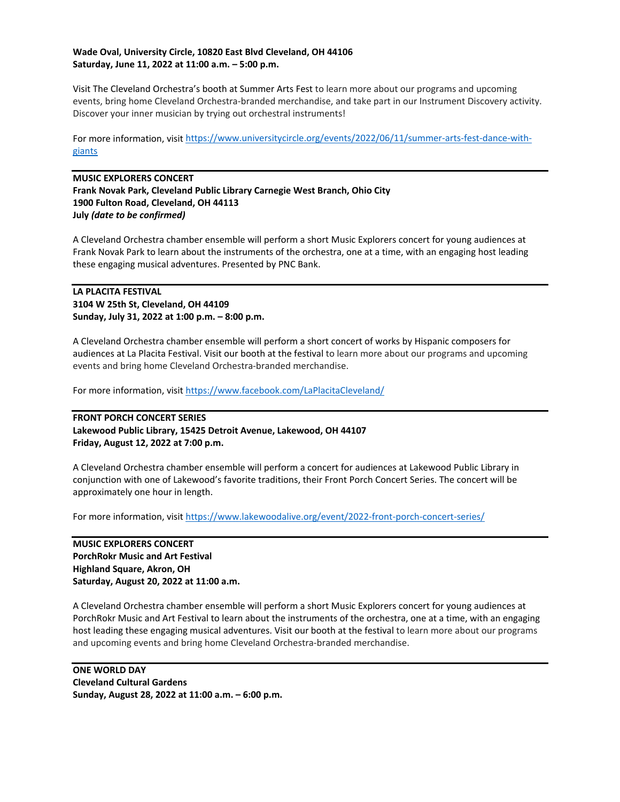#### **Wade Oval, University Circle, 10820 East Blvd Cleveland, OH 44106 Saturday, June 11, 2022 at 11:00 a.m. – 5:00 p.m.**

Visit The Cleveland Orchestra's booth at Summer Arts Fest to learn more about our programs and upcoming events, bring home Cleveland Orchestra-branded merchandise, and take part in our Instrument Discovery activity. Discover your inner musician by trying out orchestral instruments!

For more information, visi[t https://www.universitycircle.org/events/2022/06/11/summer-arts-fest-dance-with](https://www.universitycircle.org/events/2022/06/11/summer-arts-fest-dance-with-giants)[giants](https://www.universitycircle.org/events/2022/06/11/summer-arts-fest-dance-with-giants) 

#### **MUSIC EXPLORERS CONCERT Frank Novak Park, Cleveland Public Library Carnegie West Branch, Ohio City 1900 Fulton Road, Cleveland, OH 44113 July** *(date to be confirmed)*

A Cleveland Orchestra chamber ensemble will perform a short Music Explorers concert for young audiences at Frank Novak Park to learn about the instruments of the orchestra, one at a time, with an engaging host leading these engaging musical adventures. Presented by PNC Bank.

#### **LA PLACITA FESTIVAL 3104 W 25th St, Cleveland, OH 44109 Sunday, July 31, 2022 at 1:00 p.m. – 8:00 p.m.**

A Cleveland Orchestra chamber ensemble will perform a short concert of works by Hispanic composers for audiences at La Placita Festival. Visit our booth at the festival to learn more about our programs and upcoming events and bring home Cleveland Orchestra-branded merchandise.

For more information, visi[t https://www.facebook.com/LaPlacitaCleveland/](https://www.facebook.com/LaPlacitaCleveland/) 

#### **FRONT PORCH CONCERT SERIES Lakewood Public Library, 15425 Detroit Avenue, Lakewood, OH 44107 Friday, August 12, 2022 at 7:00 p.m.**

A Cleveland Orchestra chamber ensemble will perform a concert for audiences at Lakewood Public Library in conjunction with one of Lakewood's favorite traditions, their Front Porch Concert Series. The concert will be approximately one hour in length.

For more information, visit https://www.lakewoodalive.org/event/2022-front-porch-concert-series/

**MUSIC EXPLORERS CONCERT PorchRokr Music and Art Festival Highland Square, Akron, OH Saturday, August 20, 2022 at 11:00 a.m.**

A Cleveland Orchestra chamber ensemble will perform a short Music Explorers concert for young audiences at PorchRokr Music and Art Festival to learn about the instruments of the orchestra, one at a time, with an engaging host leading these engaging musical adventures. Visit our booth at the festival to learn more about our programs and upcoming events and bring home Cleveland Orchestra-branded merchandise.

**ONE WORLD DAY Cleveland Cultural Gardens Sunday, August 28, 2022 at 11:00 a.m. – 6:00 p.m.**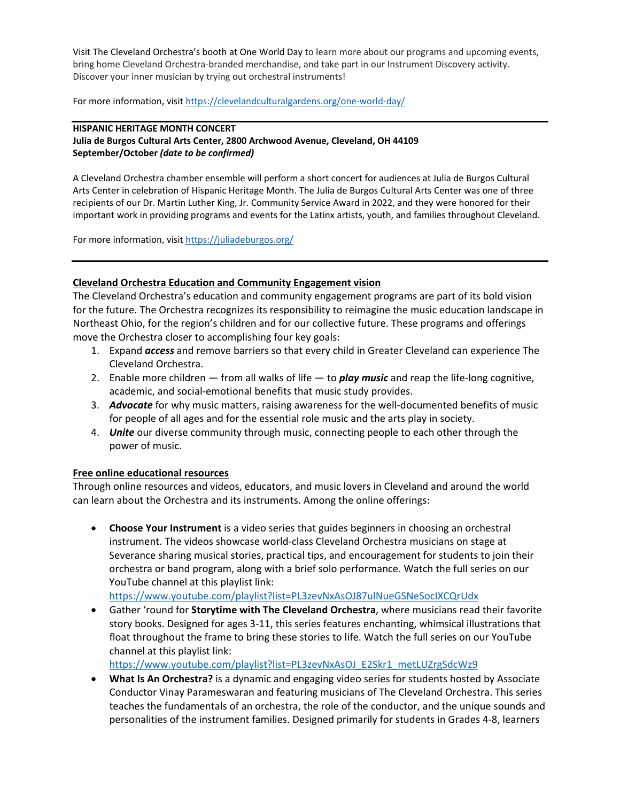Visit The Cleveland Orchestra's booth at One World Day to learn more about our programs and upcoming events, bring home Cleveland Orchestra-branded merchandise, and take part in our Instrument Discovery activity. Discover your inner musician by trying out orchestral instruments!

For more information, visi[t https://clevelandculturalgardens.org/one-world-day/](https://clevelandculturalgardens.org/one-world-day/) 

#### **HISPANIC HERITAGE MONTH CONCERT Julia de Burgos Cultural Arts Center, 2800 Archwood Avenue, Cleveland, OH 44109 September/October** *(date to be confirmed)*

A Cleveland Orchestra chamber ensemble will perform a short concert for audiences at Julia de Burgos Cultural Arts Center in celebration of Hispanic Heritage Month. The Julia de Burgos Cultural Arts Center was one of three recipients of our Dr. Martin Luther King, Jr. Community Service Award in 2022, and they were honored for their important work in providing programs and events for the Latinx artists, youth, and families throughout Cleveland.

For more information, visit https://juliadeburgos.org/

## **Cleveland Orchestra Education and Community Engagement vision**

The Cleveland Orchestra's education and community engagement programs are part of its bold vision for the future. The Orchestra recognizes its responsibility to reimagine the music education landscape in Northeast Ohio, for the region's children and for our collective future. These programs and offerings move the Orchestra closer to accomplishing four key goals:

- 1. Expand *access* and remove barriers so that every child in Greater Cleveland can experience The Cleveland Orchestra.
- 2. Enable more children from all walks of life to *play music* and reap the life-long cognitive, academic, and social-emotional benefits that music study provides.
- 3. *Advocate* for why music matters, raising awareness for the well-documented benefits of music for people of all ages and for the essential role music and the arts play in society.
- 4. *Unite* our diverse community through music, connecting people to each other through the power of music.

## **Free online educational resources**

Through online resources and videos, educators, and music lovers in Cleveland and around the world can learn about the Orchestra and its instruments. Among the online offerings:

• **Choose Your Instrument** is a video series that guides beginners in choosing an orchestral instrument. The videos showcase world-class Cleveland Orchestra musicians on stage at Severance sharing musical stories, practical tips, and encouragement for students to join their orchestra or band program, along with a brief solo performance. Watch the full series on our YouTube channel at this playlist link:

<https://www.youtube.com/playlist?list=PL3zevNxAsOJ87ulNueGSNeSocIXCQrUdx>

• Gather 'round for **Storytime with The Cleveland Orchestra**, where musicians read their favorite story books. Designed for ages 3-11, this series features enchanting, whimsical illustrations that float throughout the frame to bring these stories to life. Watch the full series on our YouTube channel at this playlist link:

[https://www.youtube.com/playlist?list=PL3zevNxAsOJ\\_E2Skr1\\_metLUZrgSdcWz9](https://www.youtube.com/playlist?list=PL3zevNxAsOJ_E2Skr1_metLUZrgSdcWz9)

• **What Is An Orchestra?** is a dynamic and engaging video series for students hosted by Associate Conductor Vinay Parameswaran and featuring musicians of The Cleveland Orchestra. This series teaches the fundamentals of an orchestra, the role of the conductor, and the unique sounds and personalities of the instrument families. Designed primarily for students in Grades 4-8, learners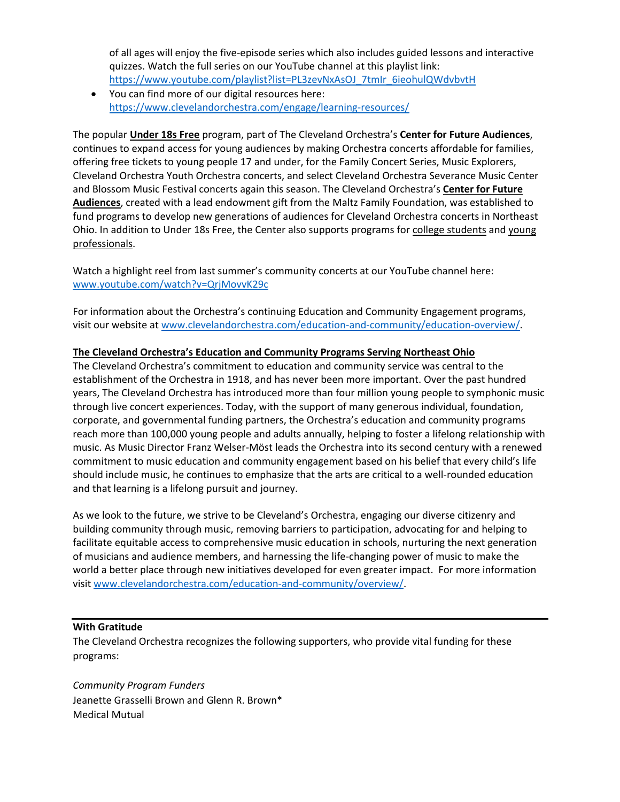of all ages will enjoy the five-episode series which also includes guided lessons and interactive quizzes. Watch the full series on our YouTube channel at this playlist link: [https://www.youtube.com/playlist?list=PL3zevNxAsOJ\\_7tmIr\\_6ieohulQWdvbvtH](https://www.youtube.com/playlist?list=PL3zevNxAsOJ_7tmIr_6ieohulQWdvbvtH) 

• You can find more of our digital resources here: <https://www.clevelandorchestra.com/engage/learning-resources/>

The popular **Under 18s Free** program, part of The Cleveland Orchestra's **Center for Future Audiences**, continues to expand access for young audiences by making Orchestra concerts affordable for families, offering free tickets to young people 17 and under, for the Family Concert Series, Music Explorers, Cleveland Orchestra Youth Orchestra concerts, and select Cleveland Orchestra Severance Music Center and Blossom Music Festival concerts again this season. The Cleveland Orchestra's **Center for Future Audiences**, created with a lead endowment gift from the Maltz Family Foundation, was established to fund programs to develop new generations of audiences for Cleveland Orchestra concerts in Northeast Ohio. In addition to Under 18s Free, the Center also supports programs for college students and young professionals.

Watch a highlight reel from last summer's community concerts at our YouTube channel here: [www.youtube.com/watch?v=QrjMovvK29c](http://www.youtube.com/watch?v=QrjMovvK29c) 

For information about the Orchestra's continuing Education and Community Engagement programs, visit our website at [www.clevelandorchestra.com/education-and-community/education-overview/.](http://www.clevelandorchestra.com/education-and-community/education-overview/)

## **The Cleveland Orchestra's Education and Community Programs Serving Northeast Ohio**

The Cleveland Orchestra's commitment to education and community service was central to the establishment of the Orchestra in 1918, and has never been more important. Over the past hundred years, The Cleveland Orchestra has introduced more than four million young people to symphonic music through live concert experiences. Today, with the support of many generous individual, foundation, corporate, and governmental funding partners, the Orchestra's education and community programs reach more than 100,000 young people and adults annually, helping to foster a lifelong relationship with music. As Music Director Franz Welser-Mӧst leads the Orchestra into its second century with a renewed commitment to music education and community engagement based on his belief that every child's life should include music, he continues to emphasize that the arts are critical to a well-rounded education and that learning is a lifelong pursuit and journey.

As we look to the future, we strive to be Cleveland's Orchestra, engaging our diverse citizenry and building community through music, removing barriers to participation, advocating for and helping to facilitate equitable access to comprehensive music education in schools, nurturing the next generation of musicians and audience members, and harnessing the life-changing power of music to make the world a better place through new initiatives developed for even greater impact. For more information visi[t www.clevelandorchestra.com/education-and-community/overview/.](http://www.clevelandorchestra.com/education-and-community/overview/)

## **With Gratitude**

The Cleveland Orchestra recognizes the following supporters, who provide vital funding for these programs:

*Community Program Funders* Jeanette Grasselli Brown and Glenn R. Brown\* Medical Mutual